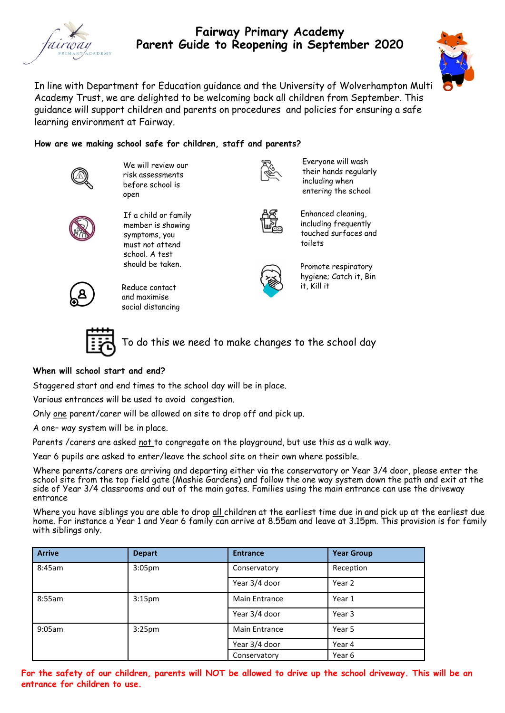

# **Fairway Primary Academy Parent Guide to Reopening in September 2020**



In line with Department for Education guidance and the University of Wolverhampton Multi Academy Trust, we are delighted to be welcoming back all children from September. This guidance will support children and parents on procedures and policies for ensuring a safe learning environment at Fairway.

### **How are we making school safe for children, staff and parents?**



We will review our risk assessments before school is open

If a child or family member is showing symptoms, you must not attend school. A test should be taken.



Everyone will wash their hands regularly including when entering the school



Enhanced cleaning, including frequently touched surfaces and toilets



Promote respiratory hygiene; Catch it, Bin it, Kill it



Reduce contact and maximise social distancing



To do this we need to make changes to the school day

### **When will school start and end?**

Staggered start and end times to the school day will be in place.

Various entrances will be used to avoid congestion.

Only one parent/carer will be allowed on site to drop off and pick up.

A one– way system will be in place.

Parents /carers are asked not to congregate on the playground, but use this as a walk way.

Year 6 pupils are asked to enter/leave the school site on their own where possible.

Where parents/carers are arriving and departing either via the conservatory or Year 3/4 door, please enter the school site from the top field gate (Mashie Gardens) and follow the one way system down the path and exit at the side of Year 3/4 classrooms and out of the main gates. Families using the main entrance can use the driveway entrance

Where you have siblings you are able to drop all children at the earliest time due in and pick up at the earliest due home. For instance a Year 1 and Year 6 family can arrive at 8.55am and leave at 3.15pm. This provision is for family with siblings only.

| <b>Arrive</b> | <b>Depart</b>      | <b>Entrance</b>      | <b>Year Group</b> |
|---------------|--------------------|----------------------|-------------------|
| 8:45am        | 3:05 <sub>pm</sub> | Conservatory         | Reception         |
|               |                    | Year 3/4 door        | Year 2            |
| 8:55am        | 3:15 <sub>pm</sub> | <b>Main Entrance</b> | Year 1            |
|               |                    | Year 3/4 door        | Year 3            |
| 9:05am        | 3:25 <sub>pm</sub> | <b>Main Entrance</b> | Year 5            |
|               |                    | Year 3/4 door        | Year 4            |
|               |                    | Conservatory         | Year 6            |

**For the safety of our children, parents will NOT be allowed to drive up the school driveway. This will be an entrance for children to use.**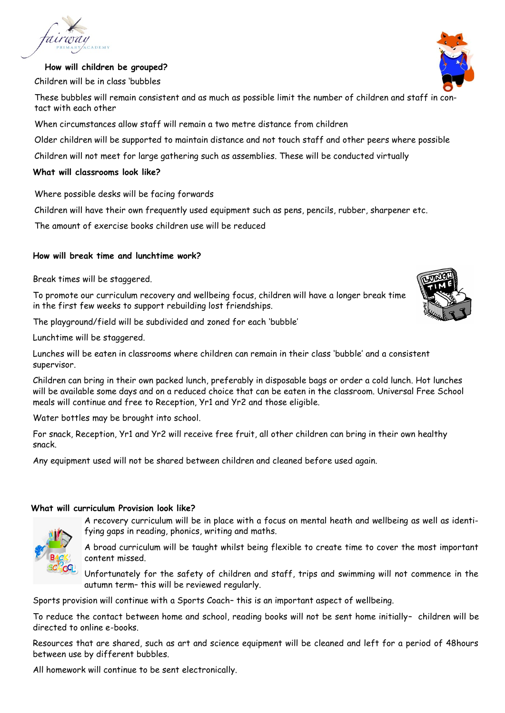

## **How will children be grouped?**

Children will be in class 'bubbles

These bubbles will remain consistent and as much as possible limit the number of children and staff in contact with each other

When circumstances allow staff will remain a two metre distance from children

Older children will be supported to maintain distance and not touch staff and other peers where possible

Children will not meet for large gathering such as assemblies. These will be conducted virtually

## **What will classrooms look like?**

Where possible desks will be facing forwards

Children will have their own frequently used equipment such as pens, pencils, rubber, sharpener etc.

The amount of exercise books children use will be reduced

# **How will break time and lunchtime work?**

Break times will be staggered.

To promote our curriculum recovery and wellbeing focus, children will have a longer break time in the first few weeks to support rebuilding lost friendships.

The playground/field will be subdivided and zoned for each 'bubble'

Lunchtime will be staggered.

Lunches will be eaten in classrooms where children can remain in their class 'bubble' and a consistent supervisor.

Children can bring in their own packed lunch, preferably in disposable bags or order a cold lunch. Hot lunches will be available some days and on a reduced choice that can be eaten in the classroom. Universal Free School meals will continue and free to Reception, Yr1 and Yr2 and those eligible.

Water bottles may be brought into school.

For snack, Reception, Yr1 and Yr2 will receive free fruit, all other children can bring in their own healthy snack.

Any equipment used will not be shared between children and cleaned before used again.

### **What will curriculum Provision look like?**

A recovery curriculum will be in place with a focus on mental heath and wellbeing as well as identifying gaps in reading, phonics, writing and maths.



A broad curriculum will be taught whilst being flexible to create time to cover the most important content missed.

Unfortunately for the safety of children and staff, trips and swimming will not commence in the autumn term– this will be reviewed regularly.

Sports provision will continue with a Sports Coach– this is an important aspect of wellbeing.

To reduce the contact between home and school, reading books will not be sent home initially– children will be directed to online e-books.

Resources that are shared, such as art and science equipment will be cleaned and left for a period of 48hours between use by different bubbles.

All homework will continue to be sent electronically.



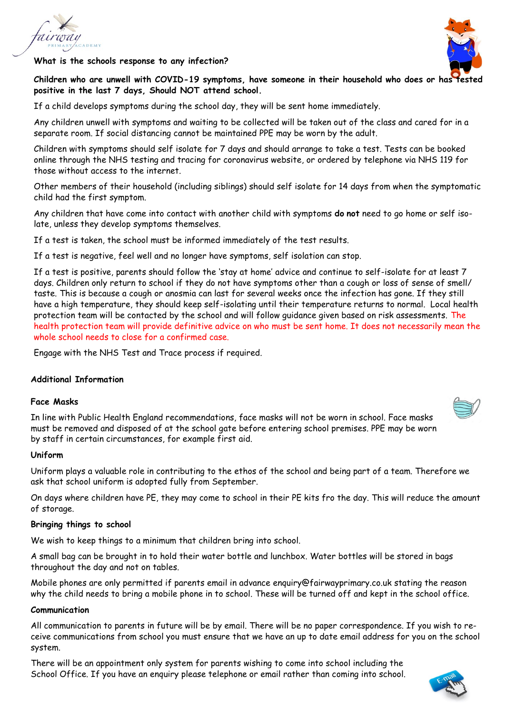

**What is the schools response to any infection?**



**Children who are unwell with COVID-19 symptoms, have someone in their household who does or has tested positive in the last 7 days, Should NOT attend school.**

If a child develops symptoms during the school day, they will be sent home immediately.

Any children unwell with symptoms and waiting to be collected will be taken out of the class and cared for in a separate room. If social distancing cannot be maintained PPE may be worn by the adult.

Children with symptoms should self isolate for 7 days and should arrange to take a test. Tests can be booked online through the NHS testing and tracing for coronavirus website, or ordered by telephone via NHS 119 for those without access to the internet.

Other members of their household (including siblings) should self isolate for 14 days from when the symptomatic child had the first symptom.

Any children that have come into contact with another child with symptoms **do not** need to go home or self isolate, unless they develop symptoms themselves.

If a test is taken, the school must be informed immediately of the test results.

If a test is negative, feel well and no longer have symptoms, self isolation can stop.

If a test is positive, parents should follow the 'stay at home' advice and continue to self-isolate for at least 7 days. Children only return to school if they do not have symptoms other than a cough or loss of sense of smell/ taste. This is because a cough or anosmia can last for several weeks once the infection has gone. If they still have a high temperature, they should keep self-isolating until their temperature returns to normal. Local health protection team will be contacted by the school and will follow guidance given based on risk assessments. The health protection team will provide definitive advice on who must be sent home. It does not necessarily mean the whole school needs to close for a confirmed case.

Engage with the NHS Test and Trace process if required.

#### **Additional Information**

#### **Face Masks**

In line with Public Health England recommendations, face masks will not be worn in school. Face masks must be removed and disposed of at the school gate before entering school premises. PPE may be worn by staff in certain circumstances, for example first aid.

#### **Uniform**

Uniform plays a valuable role in contributing to the ethos of the school and being part of a team. Therefore we ask that school uniform is adopted fully from September.

On days where children have PE, they may come to school in their PE kits fro the day. This will reduce the amount of storage.

#### **Bringing things to school**

We wish to keep things to a minimum that children bring into school.

A small bag can be brought in to hold their water bottle and lunchbox. Water bottles will be stored in bags throughout the day and not on tables.

Mobile phones are only permitted if parents email in advance enquiry@fairwayprimary.co.uk stating the reason why the child needs to bring a mobile phone in to school. These will be turned off and kept in the school office.

#### **Communication**

All communication to parents in future will be by email. There will be no paper correspondence. If you wish to receive communications from school you must ensure that we have an up to date email address for you on the school system.

There will be an appointment only system for parents wishing to come into school including the School Office. If you have an enquiry please telephone or email rather than coming into school.